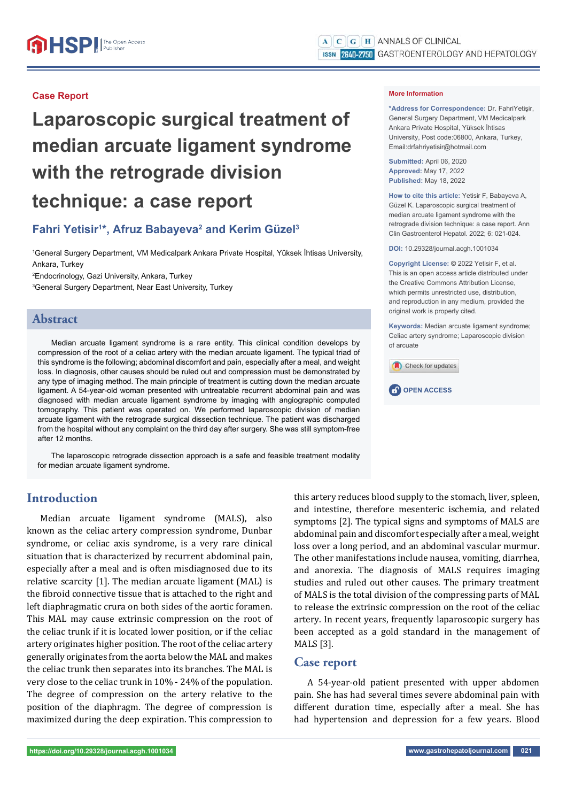### **Case Report**

# **Laparoscopic surgical treatment of median arcuate ligament syndrome with the retrograde division technique: a case report**

## Fahri Yetisir<sup>1\*</sup>, Afruz Babayeva<sup>2</sup> and Kerim Güzel<sup>3</sup>

1 General Surgery Department, VM Medicalpark Ankara Private Hospital, Yüksek İhtisas University, Ankara, Turkey 2 Endocrinology, Gazi University, Ankara, Turkey

3 General Surgery Department, Near East University, Turkey

## **Abstract**

Median arcuate ligament syndrome is a rare entity. This clinical condition develops by compression of the root of a celiac artery with the median arcuate ligament. The typical triad of this syndrome is the following; abdominal discomfort and pain, especially after a meal, and weight loss. In diagnosis, other causes should be ruled out and compression must be demonstrated by any type of imaging method. The main principle of treatment is cutting down the median arcuate ligament. A 54-year-old woman presented with untreatable recurrent abdominal pain and was diagnosed with median arcuate ligament syndrome by imaging with angiographic computed tomography. This patient was operated on. We performed laparoscopic division of median arcuate ligament with the retrograde surgical dissection technique. The patient was discharged from the hospital without any complaint on the third day after surgery. She was still symptom-free after 12 months.

The laparoscopic retrograde dissection approach is a safe and feasible treatment modality for median arcuate ligament syndrome.

#### **More Information**

**\*Address for Correspondence:** Dr. FahriYetişir, General Surgery Department, VM Medicalpark Ankara Private Hospital, Yüksek İhtisas University, Post code:06800, Ankara, Turkey, Email:drfahriyetisir@hotmail.com

**Submitted:** April 06, 2020 **Approved:** May 17, 2022 **Published:** May 18, 2022

**How to cite this article:** Yetisir F, Babayeva A, Güzel K. Laparoscopic surgical treatment of median arcuate ligament syndrome with the retrograde division technique: a case report. Ann Clin Gastroenterol Hepatol. 2022; 6: 021-024.

**DOI:** 10.29328/journal.acgh.1001034

**Copyright License: ©** 2022 Yetisir F, et al. This is an open access article distributed under the Creative Commons Attribution License, which permits unrestricted use, distribution and reproduction in any medium, provided the original work is properly cited.

**Keywords:** Median arcuate ligament syndrome; Celiac artery syndrome; Laparoscopic division of arcuate





## **Introduction**

Median arcuate ligament syndrome (MALS), also known as the celiac artery compression syndrome, Dunbar syndrome, or celiac axis syndrome, is a very rare clinical situation that is characterized by recurrent abdominal pain, especially after a meal and is often misdiagnosed due to its relative scarcity [1]. The median arcuate ligament (MAL) is the fibroid connective tissue that is attached to the right and left diaphragmatic crura on both sides of the aortic foramen. This MAL may cause extrinsic compression on the root of the celiac trunk if it is located lower position, or if the celiac artery originates higher position. The root of the celiac artery generally originates from the aorta below the MAL and makes the celiac trunk then separates into its branches. The MAL is very close to the celiac trunk in 10% - 24% of the population. The degree of compression on the artery relative to the position of the diaphragm. The degree of compression is maximized during the deep expiration. This compression to

this artery reduces blood supply to the stomach, liver, spleen, and intestine, therefore mesenteric ischemia, and related symptoms [2]. The typical signs and symptoms of MALS are abdominal pain and discomfort especially after a meal, weight loss over a long period, and an abdominal vascular murmur. The other manifestations include nausea, vomiting, diarrhea, and anorexia. The diagnosis of MALS requires imaging studies and ruled out other causes. The primary treatment of MALS is the total division of the compressing parts of MAL to release the extrinsic compression on the root of the celiac artery. In recent years, frequently laparoscopic surgery has been accepted as a gold standard in the management of MALS [3].

#### **Case report**

A 54-year-old patient presented with upper abdomen pain. She has had several times severe abdominal pain with different duration time, especially after a meal. She has had hypertension and depression for a few years. Blood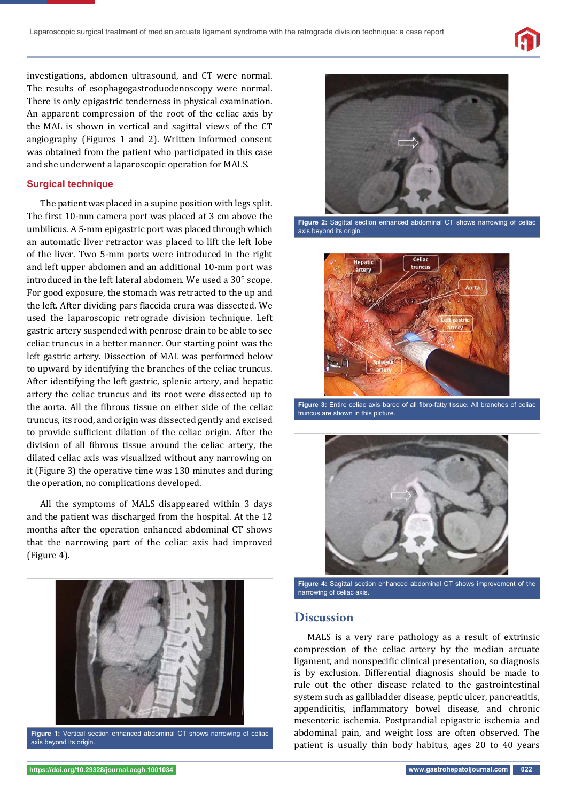

investigations, abdomen ultrasound, and CT were normal. The results of esophagogastroduodenoscopy were normal. There is only epigastric tenderness in physical examination. An apparent compression of the root of the celiac axis by the MAL is shown in vertical and sagittal views of the CT angiography (Figures 1 and 2). Written informed consent was obtained from the patient who participated in this case and she underwent a laparoscopic operation for MALS.

#### **Surgical technique**

The patient was placed in a supine position with legs split. The first 10-mm camera port was placed at 3 cm above the umbilicus. A 5-mm epigastric port was placed through which an automatic liver retractor was placed to lift the left lobe of the liver. Two 5-mm ports were introduced in the right and left upper abdomen and an additional 10-mm port was introduced in the left lateral abdomen. We used a 30° scope. For good exposure, the stomach was retracted to the up and the left. After dividing pars flaccida crura was dissected. We used the laparoscopic retrograde division technique. Left gastric artery suspended with penrose drain to be able to see celiac truncus in a better manner. Our starting point was the left gastric artery. Dissection of MAL was performed below to upward by identifying the branches of the celiac truncus. After identifying the left gastric, splenic artery, and hepatic artery the celiac truncus and its root were dissected up to the aorta. All the fibrous tissue on either side of the celiac truncus, its rood, and origin was dissected gently and excised to provide sufficient dilation of the celiac origin. After the division of all fibrous tissue around the celiac artery, the dilated celiac axis was visualized without any narrowing on it (Figure 3) the operative time was 130 minutes and during the operation, no complications developed.

All the symptoms of MALS disappeared within 3 days and the patient was discharged from the hospital. At the 12 months after the operation enhanced abdominal CT shows that the narrowing part of the celiac axis had improved (Figure 4).



**Figure 1:** Vertical section enhanced abdominal CT shows narrowing of celiac axis beyond its origin.



**Figure 2:** Sagittal section enhanced abdominal CT shows narrowing of celiac axis beyond its origin.



Figure 3: Entire celiac axis bared of all fibro-fatty tissue. All branches of celiac truncus are shown in this picture.



**Figure 4:** Sagittal section enhanced abdominal CT shows improvement of the narrowing of celiac axis.

#### **Discussion**

MALS is a very rare pathology as a result of extrinsic compression of the celiac artery by the median arcuate ligament, and nonspecific clinical presentation, so diagnosis is by exclusion. Differential diagnosis should be made to rule out the other disease related to the gastrointestinal system such as gallbladder disease, peptic ulcer, pancreatitis, appendicitis, inflammatory bowel disease, and chronic mesenteric ischemia. Postprandial epigastric ischemia and abdominal pain, and weight loss are often observed. The patient is usually thin body habitus, ages 20 to 40 years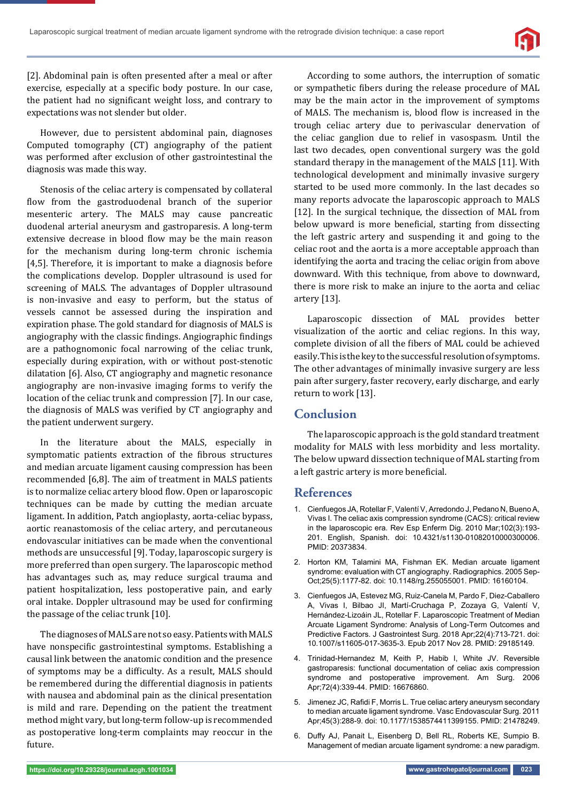

[2]. Abdominal pain is often presented after a meal or after exercise, especially at a specific body posture. In our case, the patient had no significant weight loss, and contrary to expectations was not slender but older.

However, due to persistent abdominal pain, diagnoses Computed tomography (CT) angiography of the patient was performed after exclusion of other gastrointestinal the diagnosis was made this way.

Stenosis of the celiac artery is compensated by collateral flow from the gastroduodenal branch of the superior mesenteric artery. The MALS may cause pancreatic duodenal arterial aneurysm and gastroparesis. A long-term extensive decrease in blood flow may be the main reason for the mechanism during long-term chronic ischemia [4,5]. Therefore, it is important to make a diagnosis before the complications develop. Doppler ultrasound is used for screening of MALS. The advantages of Doppler ultrasound is non-invasive and easy to perform, but the status of vessels cannot be assessed during the inspiration and expiration phase. The gold standard for diagnosis of MALS is angiography with the classic findings. Angiographic findings are a pathognomonic focal narrowing of the celiac trunk, especially during expiration, with or without post-stenotic dilatation [6]. Also, CT angiography and magnetic resonance angiography are non-invasive imaging forms to verify the location of the celiac trunk and compression [7]. In our case, the diagnosis of MALS was verified by CT angiography and the patient underwent surgery.

In the literature about the MALS, especially in symptomatic patients extraction of the fibrous structures and median arcuate ligament causing compression has been recommended [6,8]. The aim of treatment in MALS patients is to normalize celiac artery blood flow. Open or laparoscopic techniques can be made by cutting the median arcuate ligament. In addition, Patch angioplasty, aorta-celiac bypass, aortic reanastomosis of the celiac artery, and percutaneous endovascular initiatives can be made when the conventional methods are unsuccessful [9]. Today, laparoscopic surgery is more preferred than open surgery. The laparoscopic method has advantages such as, may reduce surgical trauma and patient hospitalization, less postoperative pain, and early oral intake. Doppler ultrasound may be used for confirming the passage of the celiac trunk [10].

The diagnoses of MALS are not so easy. Patients with MALS have nonspecific gastrointestinal symptoms. Establishing a causal link between the anatomic condition and the presence of symptoms may be a difficulty. As a result, MALS should be remembered during the differential diagnosis in patients with nausea and abdominal pain as the clinical presentation is mild and rare. Depending on the patient the treatment method might vary, but long-term follow-up is recommended as postoperative long-term complaints may reoccur in the future.

According to some authors, the interruption of somatic or sympathetic fibers during the release procedure of MAL may be the main actor in the improvement of symptoms of MALS. The mechanism is, blood flow is increased in the trough celiac artery due to perivascular denervation of the celiac ganglion due to relief in vasospasm. Until the last two decades, open conventional surgery was the gold standard therapy in the management of the MALS [11]. With technological development and minimally invasive surgery started to be used more commonly. In the last decades so many reports advocate the laparoscopic approach to MALS [12]. In the surgical technique, the dissection of MAL from below upward is more beneficial, starting from dissecting the left gastric artery and suspending it and going to the celiac root and the aorta is a more acceptable approach than identifying the aorta and tracing the celiac origin from above downward. With this technique, from above to downward, there is more risk to make an injure to the aorta and celiac artery [13].

Laparoscopic dissection of MAL provides better visualization of the aortic and celiac regions. In this way, complete division of all the fibers of MAL could be achieved easily. This is the key to the successful resolution of symptoms. The other advantages of minimally invasive surgery are less pain after surgery, faster recovery, early discharge, and early return to work [13].

#### **Conclusion**

The laparoscopic approach is the gold standard treatment modality for MALS with less morbidity and less mortality. The below upward dissection technique of MAL starting from a left gastric artery is more beneficial.

#### **References**

- 1. Cienfuegos JA, Rotellar F, Valentí V, Arredondo J, Pedano N, Bueno A, Vivas I. The celiac axis compression syndrome (CACS): critical review in the laparoscopic era. Rev Esp Enferm Dig. 2010 Mar;102(3):193- 201. English, Spanish. doi: 10.4321/s1130-01082010000300006. PMID: 20373834.
- 2. Horton KM, Talamini MA, Fishman EK. Median arcuate ligament syndrome: evaluation with CT angiography. Radiographics. 2005 Sep-Oct;25(5):1177-82. doi: 10.1148/rg.255055001. PMID: 16160104.
- 3. Cienfuegos JA, Estevez MG, Ruiz-Canela M, Pardo F, Diez-Caballero A, Vivas I, Bilbao JI, Martí-Cruchaga P, Zozaya G, Valentí V, Hernández-Lizoáin JL, Rotellar F. Laparoscopic Treatment of Median Arcuate Ligament Syndrome: Analysis of Long-Term Outcomes and Predictive Factors. J Gastrointest Surg. 2018 Apr;22(4):713-721. doi: 10.1007/s11605-017-3635-3. Epub 2017 Nov 28. PMID: 29185149.
- 4. Trinidad-Hernandez M, Keith P, Habib I, White JV. Reversible gastroparesis: functional documentation of celiac axis compression syndrome and postoperative improvement. Am Surg. 2006 Apr;72(4):339-44. PMID: 16676860.
- 5. Jimenez JC, Rafidi F, Morris L. True celiac artery aneurysm secondary to median arcuate ligament syndrome. Vasc Endovascular Surg. 2011 Apr;45(3):288-9. doi: 10.1177/1538574411399155. PMID: 21478249.
- 6. Duffy AJ, Panait L, Eisenberg D, Bell RL, Roberts KE, Sumpio B. Management of median arcuate ligament syndrome: a new paradigm.